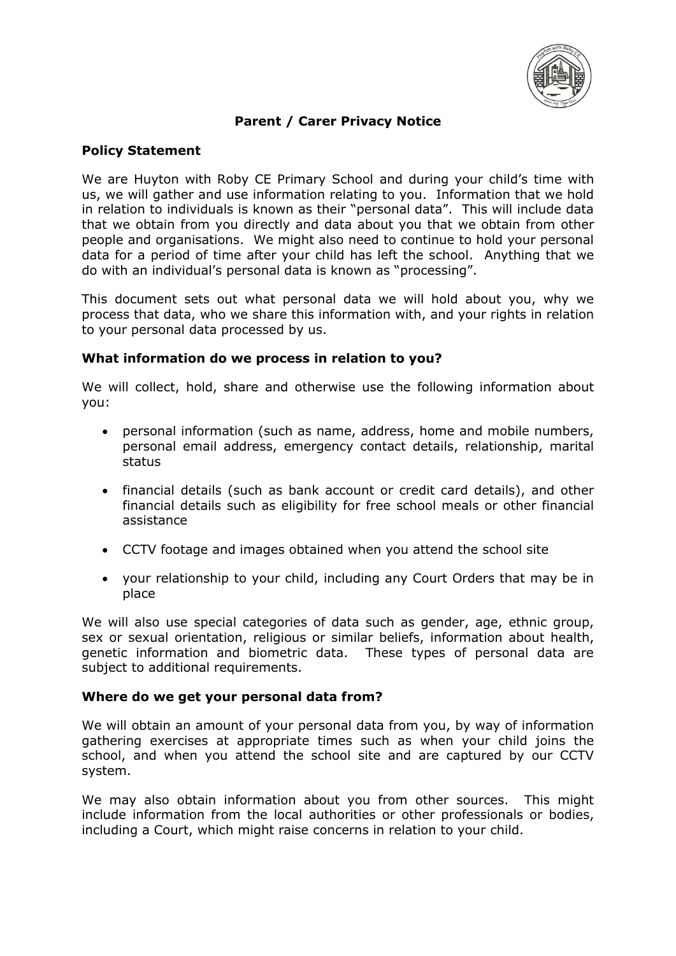

# **Parent / Carer Privacy Notice**

## **Policy Statement**

We are Huyton with Roby CE Primary School and during your child's time with us, we will gather and use information relating to you. Information that we hold in relation to individuals is known as their "personal data". This will include data that we obtain from you directly and data about you that we obtain from other people and organisations. We might also need to continue to hold your personal data for a period of time after your child has left the school. Anything that we do with an individual's personal data is known as "processing".

This document sets out what personal data we will hold about you, why we process that data, who we share this information with, and your rights in relation to your personal data processed by us.

### **What information do we process in relation to you?**

We will collect, hold, share and otherwise use the following information about you:

- personal information (such as name, address, home and mobile numbers, personal email address, emergency contact details, relationship, marital status
- financial details (such as bank account or credit card details), and other financial details such as eligibility for free school meals or other financial assistance
- CCTV footage and images obtained when you attend the school site
- your relationship to your child, including any Court Orders that may be in place

We will also use special categories of data such as gender, age, ethnic group, sex or sexual orientation, religious or similar beliefs, information about health, genetic information and biometric data. These types of personal data are subject to additional requirements.

### **Where do we get your personal data from?**

We will obtain an amount of your personal data from you, by way of information gathering exercises at appropriate times such as when your child joins the school, and when you attend the school site and are captured by our CCTV system.

We may also obtain information about you from other sources. This might include information from the local authorities or other professionals or bodies, including a Court, which might raise concerns in relation to your child.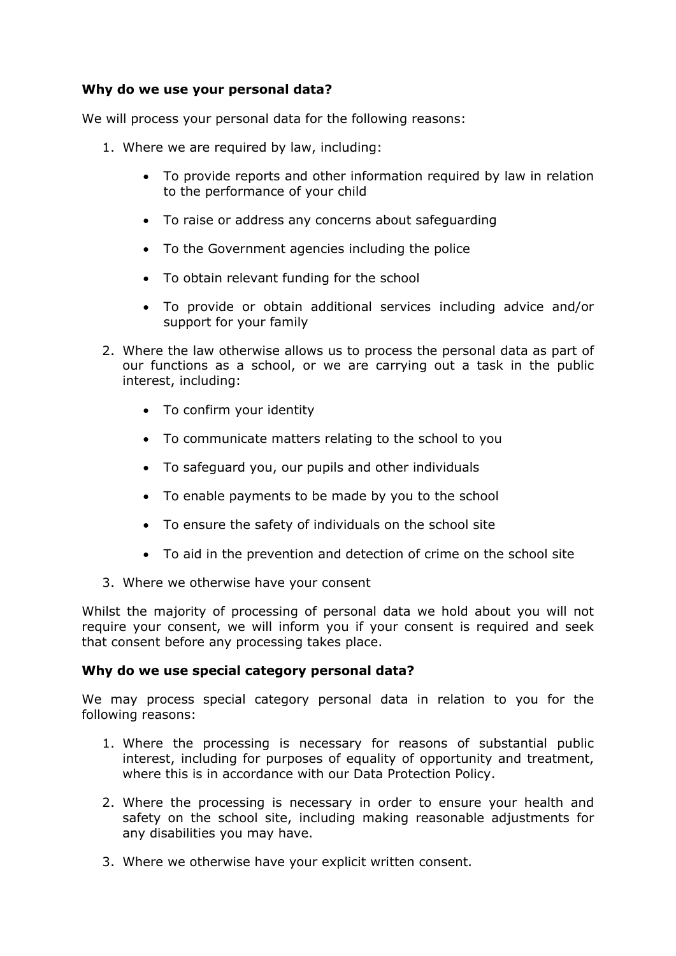## **Why do we use your personal data?**

We will process your personal data for the following reasons:

- 1. Where we are required by law, including:
	- To provide reports and other information required by law in relation to the performance of your child
	- To raise or address any concerns about safeguarding
	- To the Government agencies including the police
	- To obtain relevant funding for the school
	- To provide or obtain additional services including advice and/or support for your family
- 2. Where the law otherwise allows us to process the personal data as part of our functions as a school, or we are carrying out a task in the public interest, including:
	- To confirm your identity
	- To communicate matters relating to the school to you
	- To safeguard you, our pupils and other individuals
	- To enable payments to be made by you to the school
	- To ensure the safety of individuals on the school site
	- To aid in the prevention and detection of crime on the school site
- 3. Where we otherwise have your consent

Whilst the majority of processing of personal data we hold about you will not require your consent, we will inform you if your consent is required and seek that consent before any processing takes place.

## **Why do we use special category personal data?**

We may process special category personal data in relation to you for the following reasons:

- 1. Where the processing is necessary for reasons of substantial public interest, including for purposes of equality of opportunity and treatment, where this is in accordance with our Data Protection Policy.
- 2. Where the processing is necessary in order to ensure your health and safety on the school site, including making reasonable adjustments for any disabilities you may have.
- 3. Where we otherwise have your explicit written consent.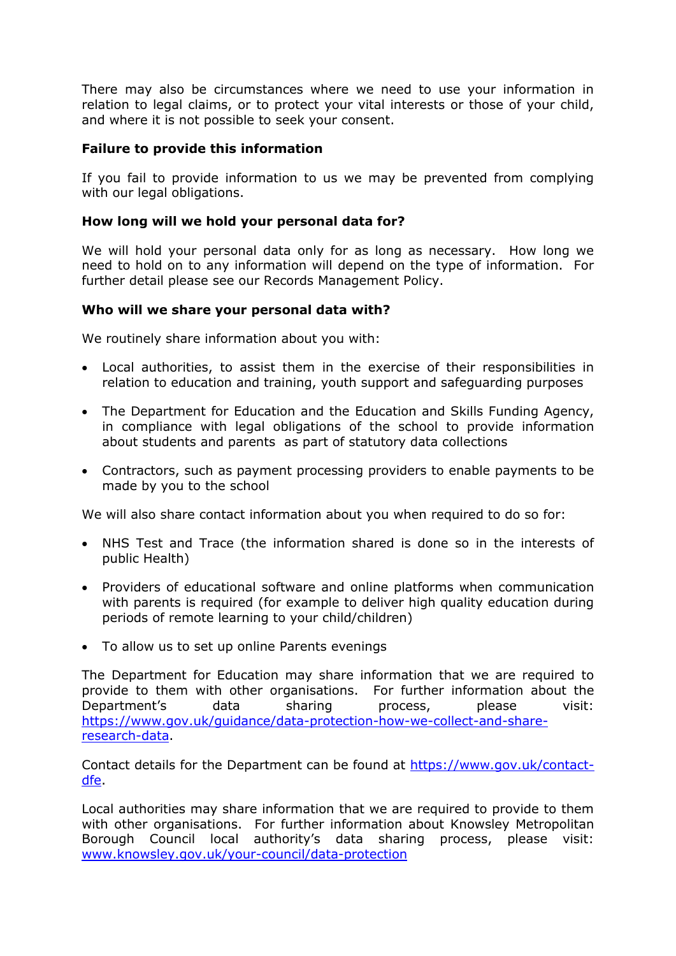There may also be circumstances where we need to use your information in relation to legal claims, or to protect your vital interests or those of your child, and where it is not possible to seek your consent.

## **Failure to provide this information**

If you fail to provide information to us we may be prevented from complying with our legal obligations.

### **How long will we hold your personal data for?**

We will hold your personal data only for as long as necessary. How long we need to hold on to any information will depend on the type of information. For further detail please see our Records Management Policy.

### **Who will we share your personal data with?**

We routinely share information about you with:

- Local authorities, to assist them in the exercise of their responsibilities in relation to education and training, youth support and safeguarding purposes
- The Department for Education and the Education and Skills Funding Agency, in compliance with legal obligations of the school to provide information about students and parents as part of statutory data collections
- Contractors, such as payment processing providers to enable payments to be made by you to the school

We will also share contact information about you when required to do so for:

- NHS Test and Trace (the information shared is done so in the interests of public Health)
- Providers of educational software and online platforms when communication with parents is required (for example to deliver high quality education during periods of remote learning to your child/children)
- To allow us to set up online Parents evenings

The Department for Education may share information that we are required to provide to them with other organisations. For further information about the Department's data sharing process, please visit: [https://www.gov.uk/guidance/data-protection-how-we-collect-and-share](https://www.gov.uk/guidance/data-protection-how-we-collect-and-share-research-data)[research-data.](https://www.gov.uk/guidance/data-protection-how-we-collect-and-share-research-data)

Contact details for the Department can be found at [https://www.gov.uk/contact](https://www.gov.uk/contact-dfe)[dfe.](https://www.gov.uk/contact-dfe)

Local authorities may share information that we are required to provide to them with other organisations. For further information about Knowsley Metropolitan Borough Council local authority's data sharing process, please visit: [www.knowsley.gov.uk/your-council/data-protection](http://www.knowsley.gov.uk/your-council/data-protection)